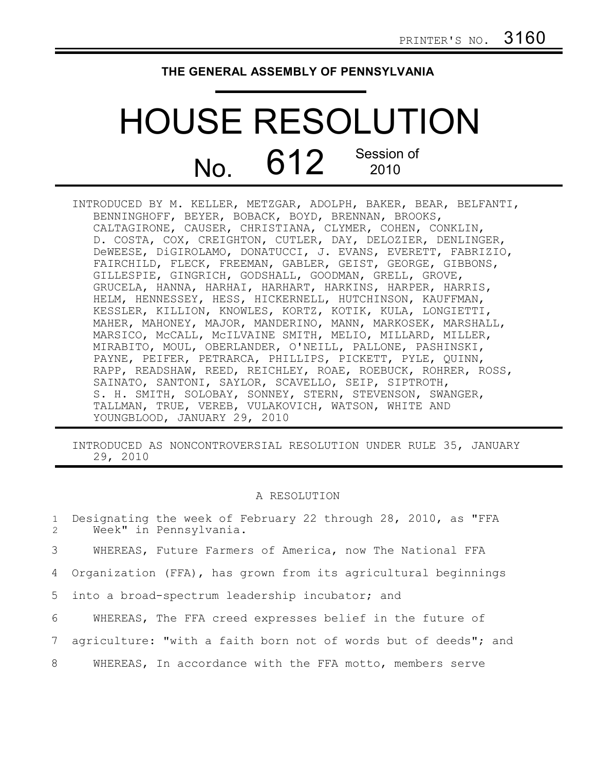## **THE GENERAL ASSEMBLY OF PENNSYLVANIA**

## HOUSE RESOLUTION No. 612 Session of 2010

| INTRODUCED BY M. KELLER, METZGAR, ADOLPH, BAKER, BEAR, BELFANTI, |
|------------------------------------------------------------------|
| BENNINGHOFF, BEYER, BOBACK, BOYD, BRENNAN, BROOKS,               |
| CALTAGIRONE, CAUSER, CHRISTIANA, CLYMER, COHEN, CONKLIN,         |
| D. COSTA, COX, CREIGHTON, CUTLER, DAY, DELOZIER, DENLINGER,      |
| DeWEESE, DiGIROLAMO, DONATUCCI, J. EVANS, EVERETT, FABRIZIO,     |
| FAIRCHILD, FLECK, FREEMAN, GABLER, GEIST, GEORGE, GIBBONS,       |
| GILLESPIE, GINGRICH, GODSHALL, GOODMAN, GRELL, GROVE,            |
| GRUCELA, HANNA, HARHAI, HARHART, HARKINS, HARPER, HARRIS,        |
| HELM, HENNESSEY, HESS, HICKERNELL, HUTCHINSON, KAUFFMAN,         |
| KESSLER, KILLION, KNOWLES, KORTZ, KOTIK, KULA, LONGIETTI,        |
| MAHER, MAHONEY, MAJOR, MANDERINO, MANN, MARKOSEK, MARSHALL,      |
| MARSICO, MCCALL, MCILVAINE SMITH, MELIO, MILLARD, MILLER,        |
| MIRABITO, MOUL, OBERLANDER, O'NEILL, PALLONE, PASHINSKI,         |
| PAYNE, PEIFER, PETRARCA, PHILLIPS, PICKETT, PYLE, QUINN,         |
| RAPP, READSHAW, REED, REICHLEY, ROAE, ROEBUCK, ROHRER, ROSS,     |
| SAINATO, SANTONI, SAYLOR, SCAVELLO, SEIP, SIPTROTH,              |
| S. H. SMITH, SOLOBAY, SONNEY, STERN, STEVENSON, SWANGER,         |
| TALLMAN, TRUE, VEREB, VULAKOVICH, WATSON, WHITE AND              |
| YOUNGBLOOD, JANUARY 29, 2010                                     |

INTRODUCED AS NONCONTROVERSIAL RESOLUTION UNDER RULE 35, JANUARY 29, 2010

## A RESOLUTION

Designating the week of February 22 through 28, 2010, as "FFA Week" in Pennsylvania. WHEREAS, Future Farmers of America, now The National FFA Organization (FFA), has grown from its agricultural beginnings into a broad-spectrum leadership incubator; and WHEREAS, The FFA creed expresses belief in the future of agriculture: "with a faith born not of words but of deeds"; and WHEREAS, In accordance with the FFA motto, members serve 1 2 3 4 5 6 7 8